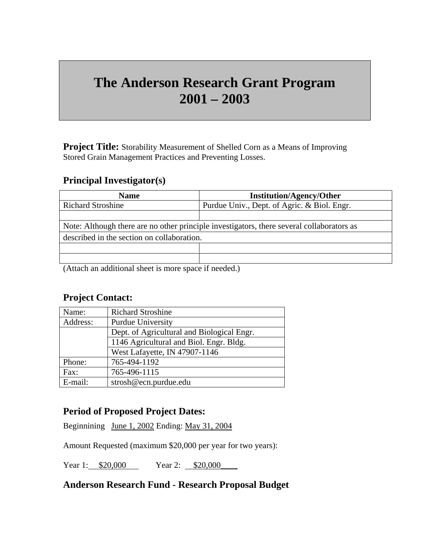# **The Anderson Research Grant Program 2001 – 2003**

**Project Title:** Storability Measurement of Shelled Corn as a Means of Improving Stored Grain Management Practices and Preventing Losses.

### **Principal Investigator(s)**

| <b>Name</b>                                                                               | <b>Institution/Agency/Other</b>             |
|-------------------------------------------------------------------------------------------|---------------------------------------------|
| <b>Richard Stroshine</b>                                                                  | Purdue Univ., Dept. of Agric. & Biol. Engr. |
|                                                                                           |                                             |
| Note: Although there are no other principle investigators, there several collaborators as |                                             |
| described in the section on collaboration.                                                |                                             |
|                                                                                           |                                             |
|                                                                                           |                                             |

(Attach an additional sheet is more space if needed.)

## **Project Contact:**

| Name:    | <b>Richard Stroshine</b>                   |
|----------|--------------------------------------------|
| Address: | <b>Purdue University</b>                   |
|          | Dept. of Agricultural and Biological Engr. |
|          | 1146 Agricultural and Biol. Engr. Bldg.    |
|          | West Lafayette, IN 47907-1146              |
| Phone:   | 765-494-1192                               |
| Fax:     | 765-496-1115                               |
| E-mail:  | strosh@ecn.purdue.edu                      |

### **Period of Proposed Project Dates:**

Beginnining June 1, 2002 Ending: May 31, 2004

Amount Requested (maximum \$20,000 per year for two years):

Year 1: \$20,000 Year 2: \$20,000

### **Anderson Research Fund - Research Proposal Budget**